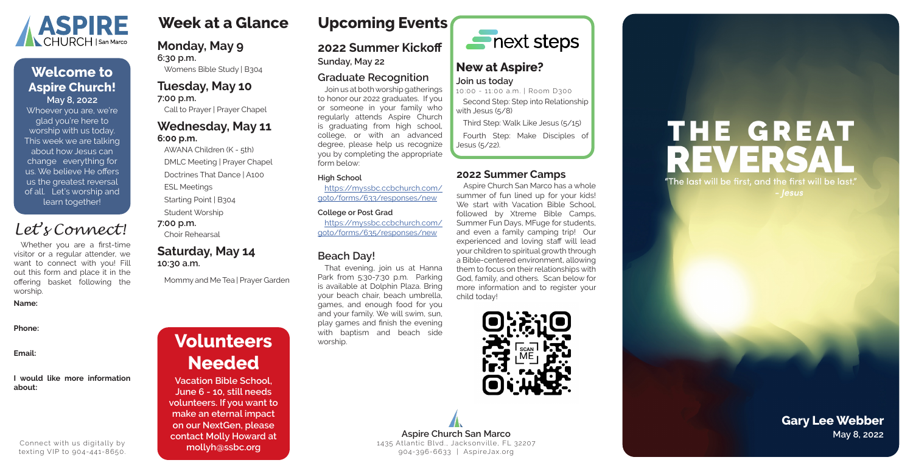# **Week at a Glance**

### **Monday, May 9 6:30 p.m.**

Womens Bible Study | B304

### **Tuesday, May 10 7:00 p.m.**

Call to Prayer | Prayer Chapel

### **Wednesday, May 11 6:00 p.m.**

AWANA Children (K - 5th) DMLC Meeting | Prayer Chapel

Doctrines That Dance | A100

ESL Meetings

Starting Point | B304

Student Worship

**7:00 p.m.**

Choir Rehearsal

### **Saturday, May 14 10:30 a.m.**

Mommy and Me Tea | Prayer Garden

### **2022 Summer Camps**

Aspire Church San Marco has a whole summer of fun lined up for your kids! We start with Vacation Bible School, followed by Xtreme Bible Camps, Summer Fun Days, MFuge for students, and even a family camping trip! Our experienced and loving staff will lead your children to spiritual growth through a Bible-centered environment, allowing them to focus on their relationships with God, family, and others. Scan below for more information and to register your child today!



## **2022 Summer Kickoff**

**Sunday, May 22**

### **Graduate Recognition**

Join us at both worship gatherings to honor our 2022 graduates. If you or someone in your family who regularly attends Aspire Church is graduating from high school, college, or with an advanced degree, please help us recognize you by completing the appropriate form below:

### **High School**

**Aspire Church San Marco May 8, 2022** 1435 Atlantic Blvd., Jacksonville, FL 32207 904-396-6633 | AspireJax.org

# THE GREAT REVERS "The last will be first, and the first will be last." - |esus

https://myssbc.ccbchurch.com/ goto/forms/633/responses/new

### **College or Post Grad**

https://myssbc.ccbchurch.com/ goto/forms/635/responses/new

### **Beach Day!**

That evening, join us at Hanna Park from 5:30-7:30 p.m. Parking is available at Dolphin Plaza. Bring your beach chair, beach umbrella, games, and enough food for you and your family. We will swim, sun, play games and finish the evening with baptism and beach side worship.



### **New at Aspire? Join us today**

10:00 - 11:00 a.m. | Room D300 Second Step: Step into Relationship with Jesus (5/8)

Third Step: Walk Like Jesus (5/15)

Fourth Step: Make Disciples of Jesus (5/22).

# **Volunteers Needed**

**Vacation Bible School, June 6 - 10, still needs volunteers. If you want to make an eternal impact on our NextGen, please contact Molly Howard at mollyh@ssbc.org**

Whoever you are, we're glad you're here to worship with us today. This week we are talking about how Jesus can change everything for us. We believe He offers us the greatest reversal of all. Let's worship and learn together!



### **May 8, 2022 Welcome to Aspire Church!**

# **Gary Lee Webber**

Whether you are a first-time visitor or a regular attender, we want to connect with you! Fill out this form and place it in the offering basket following the worship.

### **Name:**

**Phone:**

**Email:**

### **I would like more information about:**

# *Let's Connect!*

Connect with us digitally by texting VIP to 904-441-8650.

# **Upcoming Events**